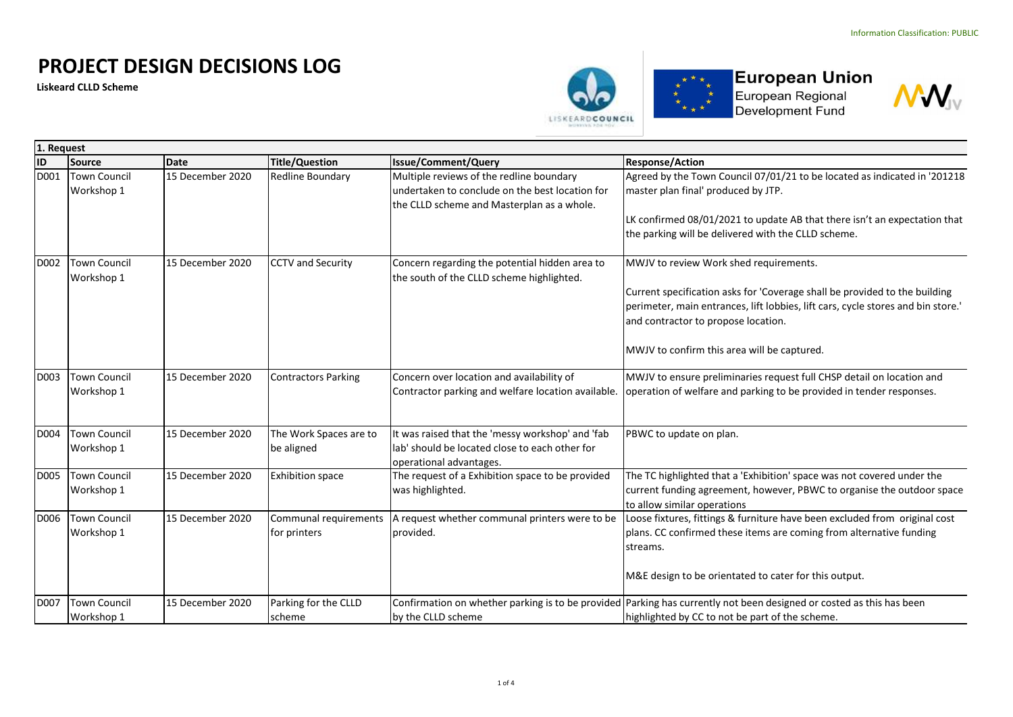## **PROJECT DESIGN DECISIONS LOG**

**Liskeard CLLD Scheme**





**European Union** European Regional **Development Fund** 



**ID Source Date Title/Question Issue/Comment/Query Response/Action**  D001 Town Council Workshop 1 15 December 2020 Redline Boundary Multiple reviews of the redline boundary undertaken to conclude on the best location for the CLLD scheme and Masterplan as a whole. Agreed by the Town Council 07/01/21 to be located as indicated in '201218 master plan final' produced by JTP. LK confirmed 08/01/2021 to update AB that there isn't an expectation that the parking will be delivered with the CLLD scheme. D002 Town Council Workshop 1 15 December 2020 CCTV and Security Concern regarding the potential hidden area to the south of the CLLD scheme highlighted. MWJV to review Work shed requirements. Current specification asks for 'Coverage shall be provided to the building perimeter, main entrances, lift lobbies, lift cars, cycle stores and bin store.' and contractor to propose location. MWJV to confirm this area will be captured. D003 Town Council Workshop 1 15 December 2020 Contractors Parking Concern over location and availability of Contractor parking and welfare location available. MWJV to ensure preliminaries request full CHSP detail on location and operation of welfare and parking to be provided in tender responses. D004 Town Council Workshop 1 15 December 2020 The Work Spaces are to be aligned It was raised that the 'messy workshop' and 'fab lab' should be located close to each other for operational advantages. PBWC to update on plan. D005 Town Council Workshop 1 15 December 2020  $\left|$  Exhibition space  $\left| \right|$  The request of a Exhibition space to be provided was highlighted. The TC highlighted that a 'Exhibition' space was not covered under the current funding agreement, however, PBWC to organise the outdoor space to allow similar operations D006 Town Council Workshop 1 15 December 2020 Communal requirements for printers A request whether communal printers were to be provided. Loose fixtures, fittings & furniture have been excluded from original cost plans. CC confirmed these items are coming from alternative funding streams. M&E design to be orientated to cater for this output. D007 Town Council Workshop 1 15 December 2020 Parking for the CLLD scheme Confirmation on whether parking is to be provided Parking has currently not been designed or costed as this has been by the CLLD scheme highlighted by CC to not be part of the scheme. **1. Request**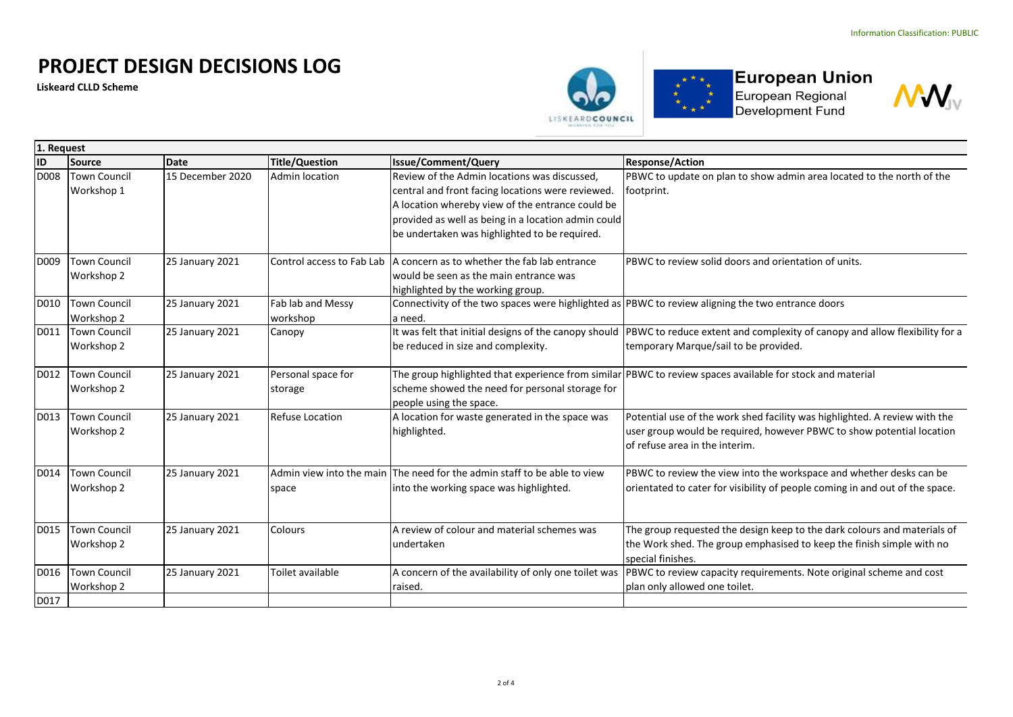## **PROJECT DESIGN DECISIONS LOG**

**Liskeard CLLD Scheme**





**European Union** European Regional Development Fund



|             | 1. Request                        |                  |                               |                                                                                                                                                                                                                                                               |                                                                                                                                                                                        |  |
|-------------|-----------------------------------|------------------|-------------------------------|---------------------------------------------------------------------------------------------------------------------------------------------------------------------------------------------------------------------------------------------------------------|----------------------------------------------------------------------------------------------------------------------------------------------------------------------------------------|--|
| ID          | Source                            | <b>Date</b>      | Title/Question                | <b>Issue/Comment/Query</b>                                                                                                                                                                                                                                    | <b>Response/Action</b>                                                                                                                                                                 |  |
| <b>D008</b> | <b>Town Council</b><br>Workshop 1 | 15 December 2020 | Admin location                | Review of the Admin locations was discussed.<br>central and front facing locations were reviewed.<br>A location whereby view of the entrance could be<br>provided as well as being in a location admin could<br>be undertaken was highlighted to be required. | PBWC to update on plan to show admin area located to the north of the<br>footprint.                                                                                                    |  |
| D009        | <b>Town Council</b><br>Workshop 2 | 25 January 2021  | Control access to Fab Lab     | A concern as to whether the fab lab entrance<br>would be seen as the main entrance was<br>highlighted by the working group.                                                                                                                                   | PBWC to review solid doors and orientation of units.                                                                                                                                   |  |
| D010        | Town Council<br>Workshop 2        | 25 January 2021  | Fab lab and Messy<br>workshop | Connectivity of the two spaces were highlighted as PBWC to review aligning the two entrance doors<br>a need.                                                                                                                                                  |                                                                                                                                                                                        |  |
| D011        | Town Council<br>Workshop 2        | 25 January 2021  | Canopy                        | It was felt that initial designs of the canopy should<br>be reduced in size and complexity.                                                                                                                                                                   | PBWC to reduce extent and complexity of canopy and allow flexibility for a<br>temporary Marque/sail to be provided.                                                                    |  |
| D012        | Town Council<br>Workshop 2        | 25 January 2021  | Personal space for<br>storage | scheme showed the need for personal storage for<br>people using the space.                                                                                                                                                                                    | The group highlighted that experience from similar PBWC to review spaces available for stock and material                                                                              |  |
| D013        | Town Council<br>Workshop 2        | 25 January 2021  | <b>Refuse Location</b>        | A location for waste generated in the space was<br>highlighted.                                                                                                                                                                                               | Potential use of the work shed facility was highlighted. A review with the<br>user group would be required, however PBWC to show potential location<br>lof refuse area in the interim. |  |
| D014        | Town Council<br>Workshop 2        | 25 January 2021  | space                         | Admin view into the main The need for the admin staff to be able to view<br>into the working space was highlighted.                                                                                                                                           | PBWC to review the view into the workspace and whether desks can be<br>orientated to cater for visibility of people coming in and out of the space.                                    |  |
| D015        | <b>Town Council</b><br>Workshop 2 | 25 January 2021  | Colours                       | A review of colour and material schemes was<br>undertaken                                                                                                                                                                                                     | The group requested the design keep to the dark colours and materials of<br>the Work shed. The group emphasised to keep the finish simple with no<br>special finishes.                 |  |
| D016        | <b>Town Council</b><br>Workshop 2 | 25 January 2021  | Toilet available              | A concern of the availability of only one toilet was<br>raised.                                                                                                                                                                                               | PBWC to review capacity requirements. Note original scheme and cost<br>plan only allowed one toilet.                                                                                   |  |
| D017        |                                   |                  |                               |                                                                                                                                                                                                                                                               |                                                                                                                                                                                        |  |